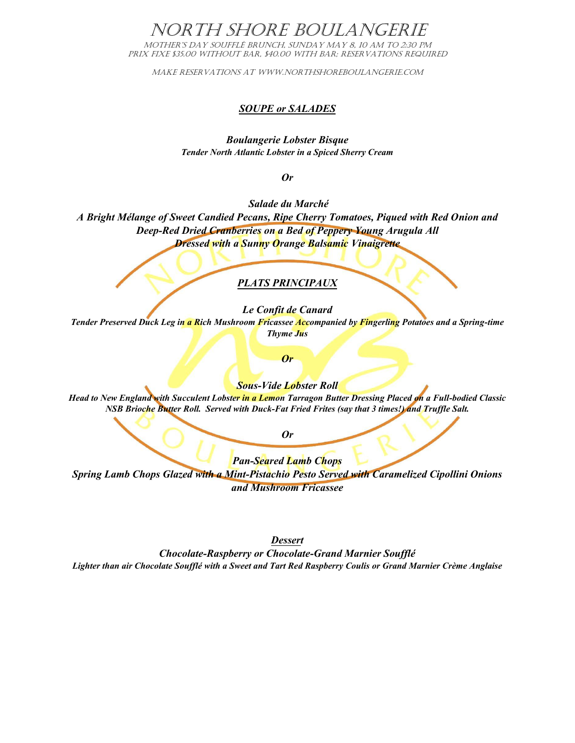# NORTH SHORE BOULANGERIE

Mother's Day Soufflé Brunch, Sunday May 8, 10 am to 2:30 PM PRIX FIXE \$35.00 WITHOUT BAR, \$40.00 WITH BAR; RESERVATIONS REQUIRED

Make RESERVATIONS AT WWW.NORTHSHOREBOULANGERIE.COM

### *SOUPE or SALADES*

*Boulangerie Lobster Bisque Tender North Atlantic Lobster in a Spiced Sherry Cream*

*Or* 

*Salade du Marché*

*A Bright Mélange of Sweet Candied Pecans, Ripe Cherry Tomatoes, Piqued with Red Onion and Deep-Red Dried Cranberries on a Bed of Peppery Young Arugula All Dressed with a Sunny Orange Balsamic Vinaigrette*

## *PLATS PRINCIPAUX*

*Le Confit de Canard*

*Tender Preserved Duck Leg in a Rich Mushroom Fricassee Accompanied by Fingerling Potatoes and a Spring-time Thyme Jus* 

*Or* 

*Sous-Vide Lobster Roll*

*Head to New England with Succulent Lobster in a Lemon Tarragon Butter Dressing Placed on a Full-bodied Classic NSB Brioche Butter Roll. Served with Duck-Fat Fried Frites (say that 3 times!) and Truffle Salt.* 

*Or*

*Pan-Seared Lamb Chops Spring Lamb Chops Glazed with a Mint-Pistachio Pesto Served with Caramelized Cipollini Onions and Mushroom Fricassee*

*Dessert Chocolate-Raspberry or Chocolate-Grand Marnier Soufflé Lighter than air Chocolate Soufflé with a Sweet and Tart Red Raspberry Coulis or Grand Marnier Crème Anglaise*